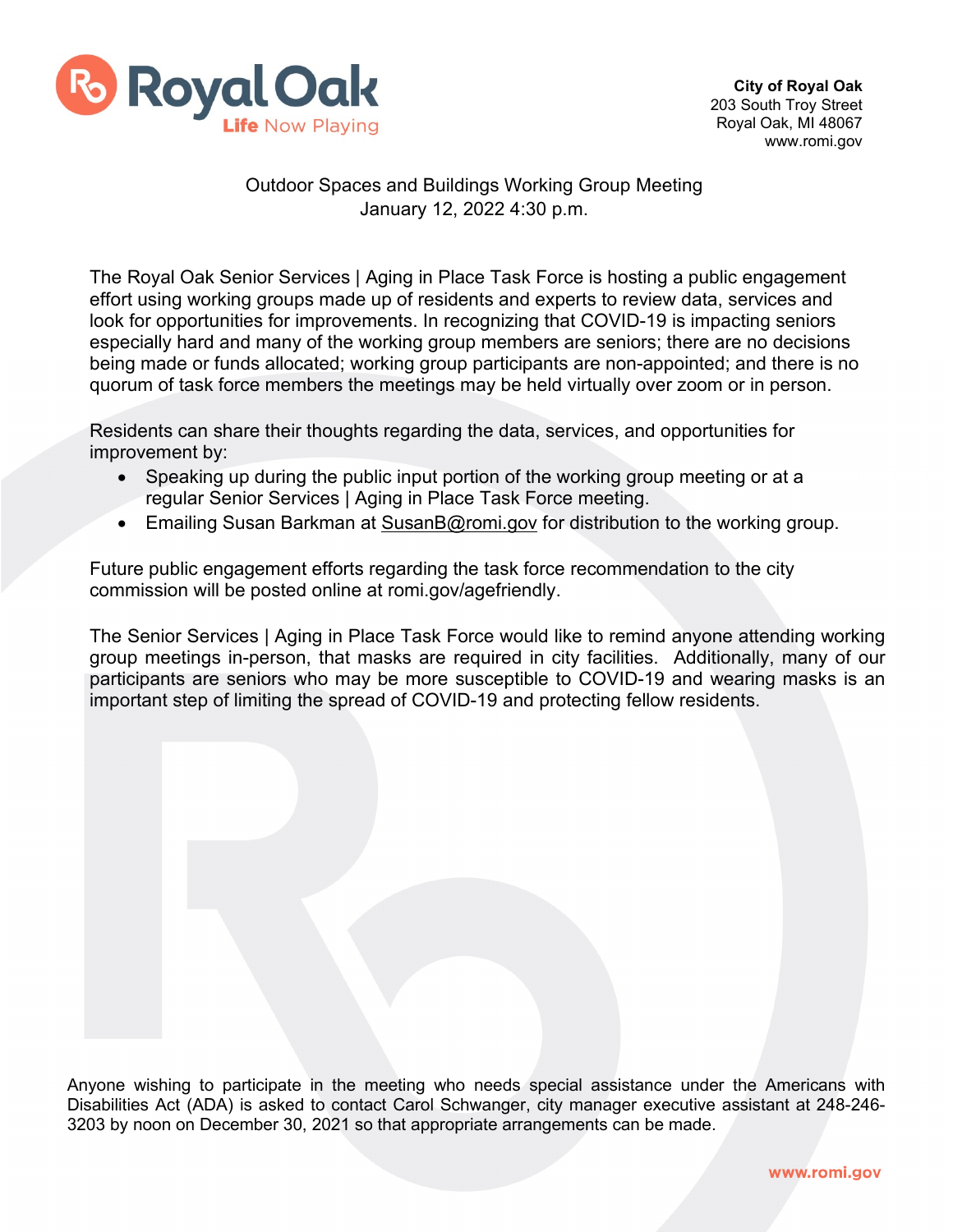

## Outdoor Spaces and Buildings Working Group Meeting January 12, 2022 4:30 p.m.

The Royal Oak Senior Services | Aging in Place Task Force is hosting a public engagement effort using working groups made up of residents and experts to review data, services and look for opportunities for improvements. In recognizing that COVID-19 is impacting seniors especially hard and many of the working group members are seniors; there are no decisions being made or funds allocated; working group participants are non-appointed; and there is no quorum of task force members the meetings may be held virtually over zoom or in person.

Residents can share their thoughts regarding the data, services, and opportunities for improvement by:

- Speaking up during the public input portion of the working group meeting or at a regular Senior Services | Aging in Place Task Force meeting.
- Emailing Susan Barkman at [SusanB@romi.gov](mailto:SusanB@romi.gov) for distribution to the working group.

Future public engagement efforts regarding the task force recommendation to the city commission will be posted online at romi.gov/agefriendly.

The Senior Services | Aging in Place Task Force would like to remind anyone attending working group meetings in-person, that masks are required in city facilities. Additionally, many of our participants are seniors who may be more susceptible to COVID-19 and wearing masks is an important step of limiting the spread of COVID-19 and protecting fellow residents.

Anyone wishing to participate in the meeting who needs special assistance under the Americans with Disabilities Act (ADA) is asked to contact Carol Schwanger, city manager executive assistant at 248-246- 3203 by noon on December 30, 2021 so that appropriate arrangements can be made.